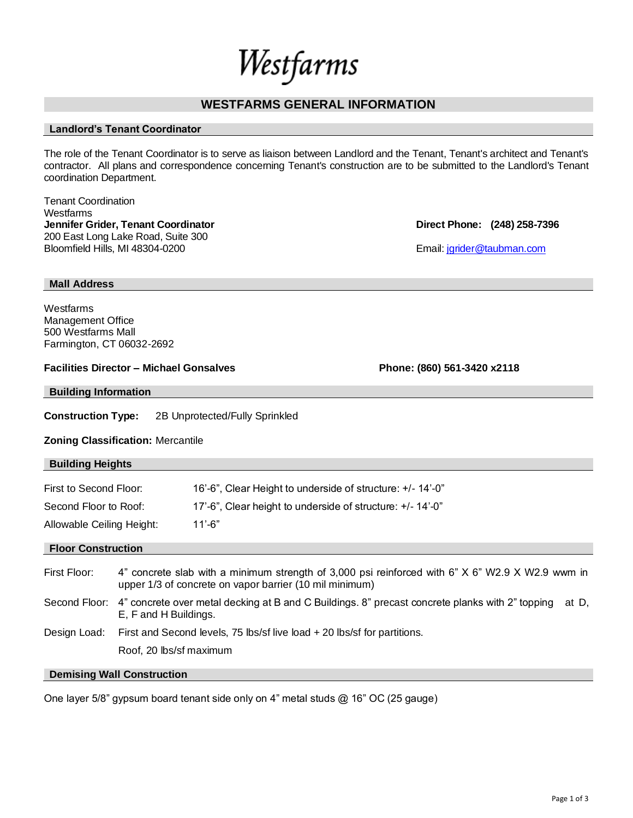# Westfarms

## **WESTFARMS GENERAL INFORMATION**

## **Landlord's Tenant Coordinator**

The role of the Tenant Coordinator is to serve as liaison between Landlord and the Tenant, Tenant's architect and Tenant's contractor. All plans and correspondence concerning Tenant's construction are to be submitted to the Landlord's Tenant coordination Department.

Tenant Coordination **Westfarms Jennifer Grider, Tenant Coordinator Direct Phone: (248) 258-7396** 200 East Long Lake Road, Suite 300 Bloomfield Hills, MI 48304-0200 **Email:** journalistic Email: journalistic Email: journalistic Email: journalistic Email: journalistic Email: journalistic Email: journalistic Email: journalistic Email: journalistic Email: j

**Mall Address**

**Westfarms** Management Office 500 Westfarms Mall Farmington, CT 06032-2692

**Facilities Director – Michael Gonsalves Phone: (860) 561-3420 x2118**

**Building Information**

**Construction Type:** 2B Unprotected/Fully Sprinkled

**Zoning Classification:** Mercantile

| <b>Building Heights</b>   |                                                                                                                                                             |                                                            |
|---------------------------|-------------------------------------------------------------------------------------------------------------------------------------------------------------|------------------------------------------------------------|
|                           |                                                                                                                                                             |                                                            |
| First to Second Floor:    |                                                                                                                                                             | 16'-6", Clear Height to underside of structure: +/- 14'-0" |
| Second Floor to Roof:     |                                                                                                                                                             | 17'-6", Clear height to underside of structure: +/-14'-0"  |
| Allowable Ceiling Height: |                                                                                                                                                             | $11' - 6"$                                                 |
| <b>Floor Construction</b> |                                                                                                                                                             |                                                            |
| First Floor:              | 4" concrete slab with a minimum strength of 3,000 psi reinforced with 6" X 6" W2.9 X W2.9 wwm in<br>upper 1/3 of concrete on vapor barrier (10 mil minimum) |                                                            |
| Second Floor:             | 4" concrete over metal decking at B and C Buildings. 8" precast concrete planks with 2" topping<br>at D.<br>E, F and H Buildings.                           |                                                            |
| Design Load:              | First and Second levels, 75 lbs/sf live load + 20 lbs/sf for partitions.                                                                                    |                                                            |
|                           | Roof, 20 lbs/sf maximum                                                                                                                                     |                                                            |

## **Demising Wall Construction**

One layer 5/8" gypsum board tenant side only on 4" metal studs @ 16" OC (25 gauge)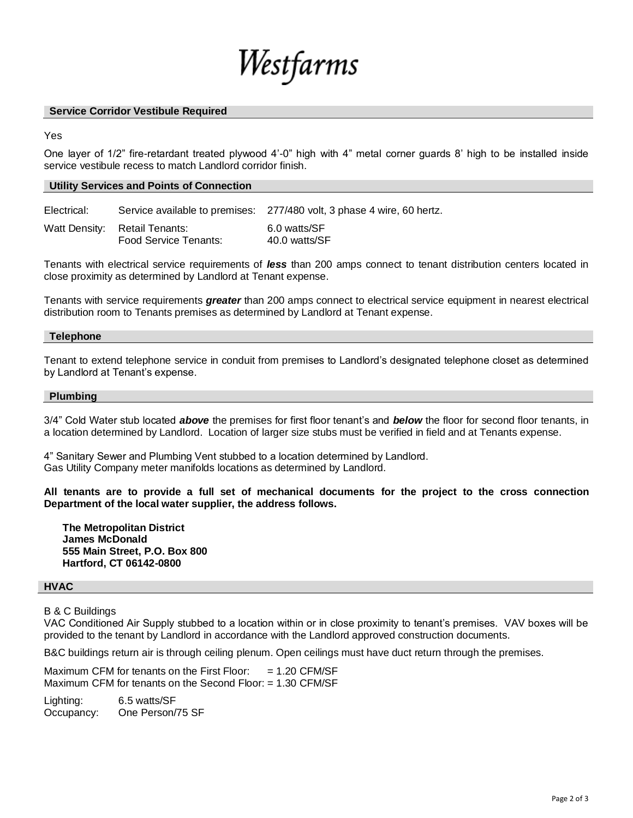

#### **Service Corridor Vestibule Required**

Yes

One layer of 1/2" fire-retardant treated plywood 4'-0" high with 4" metal corner guards 8' high to be installed inside service vestibule recess to match Landlord corridor finish.

#### **Utility Services and Points of Connection**

Electrical: Service available to premises: 277/480 volt, 3 phase 4 wire, 60 hertz.

Watt Density: Retail Tenants: 6.0 watts/SF Food Service Tenants: 40.0 watts/SF

Tenants with electrical service requirements of *less* than 200 amps connect to tenant distribution centers located in close proximity as determined by Landlord at Tenant expense.

Tenants with service requirements *greater* than 200 amps connect to electrical service equipment in nearest electrical distribution room to Tenants premises as determined by Landlord at Tenant expense.

#### **Telephone**

Tenant to extend telephone service in conduit from premises to Landlord's designated telephone closet as determined by Landlord at Tenant's expense.

#### **Plumbing**

3/4" Cold Water stub located *above* the premises for first floor tenant's and *below* the floor for second floor tenants, in a location determined by Landlord. Location of larger size stubs must be verified in field and at Tenants expense.

4" Sanitary Sewer and Plumbing Vent stubbed to a location determined by Landlord. Gas Utility Company meter manifolds locations as determined by Landlord.

**All tenants are to provide a full set of mechanical documents for the project to the cross connection Department of the local water supplier, the address follows.**

**The Metropolitan District James McDonald 555 Main Street, P.O. Box 800 Hartford, CT 06142-0800**

#### **HVAC**

B & C Buildings

VAC Conditioned Air Supply stubbed to a location within or in close proximity to tenant's premises. VAV boxes will be provided to the tenant by Landlord in accordance with the Landlord approved construction documents.

B&C buildings return air is through ceiling plenum. Open ceilings must have duct return through the premises.

Maximum CFM for tenants on the First Floor:  $= 1.20$  CFM/SF Maximum CFM for tenants on the Second Floor: = 1.30 CFM/SF

Lighting: 6.5 watts/SF Occupancy: One Person/75 SF